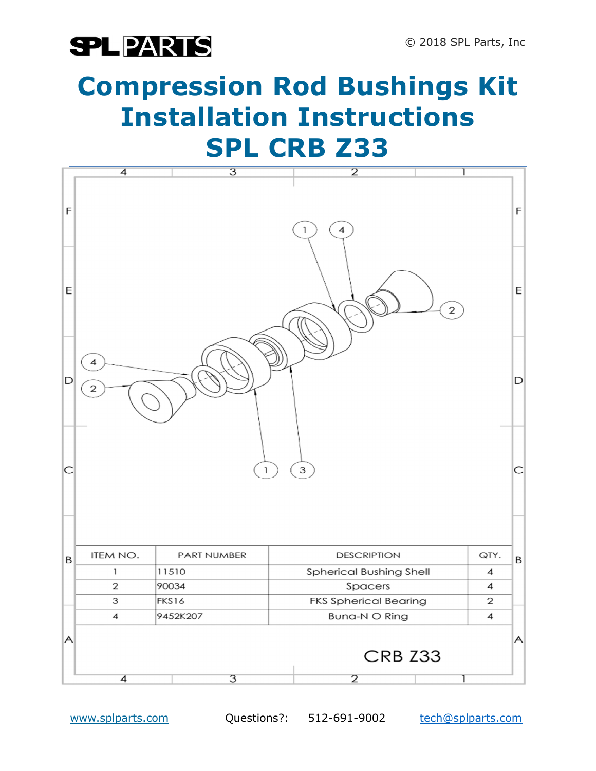### **SPLPARTS**

## Compression Rod Bushings Kit Installation Instructions SPL CRB Z33

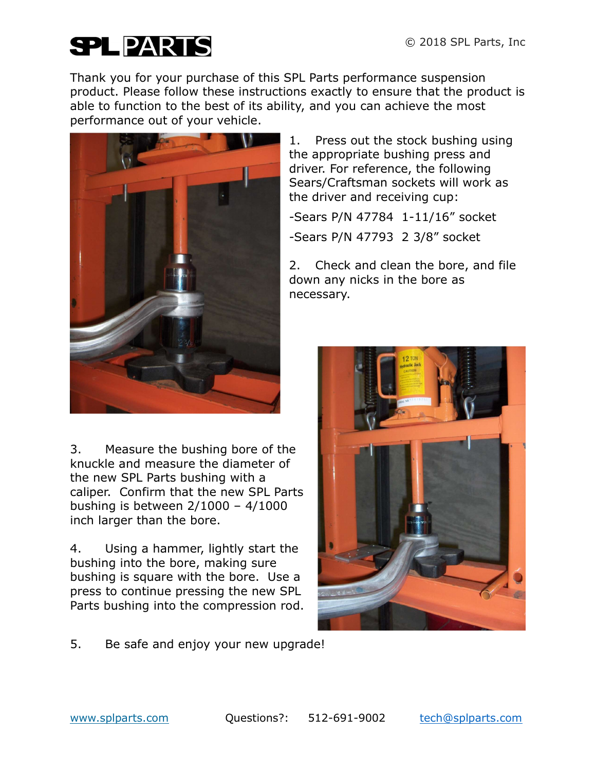# **SPLPARTS**

Thank you for your purchase of this SPL Parts performance suspension product. Please follow these instructions exactly to ensure that the product is able to function to the best of its ability, and you can achieve the most performance out of your vehicle.



3. Measure the bushing bore of the knuckle and measure the diameter of the new SPL Parts bushing with a caliper. Confirm that the new SPL Parts bushing is between 2/1000 – 4/1000 inch larger than the bore.

4. Using a hammer, lightly start the bushing into the bore, making sure bushing is square with the bore. Use a press to continue pressing the new SPL Parts bushing into the compression rod.

1. Press out the stock bushing using the appropriate bushing press and driver. For reference, the following Sears/Craftsman sockets will work as the driver and receiving cup:

-Sears P/N 47784 1-11/16" socket

-Sears P/N 47793 2 3/8" socket

2. Check and clean the bore, and file down any nicks in the bore as necessary.



5. Be safe and enjoy your new upgrade!